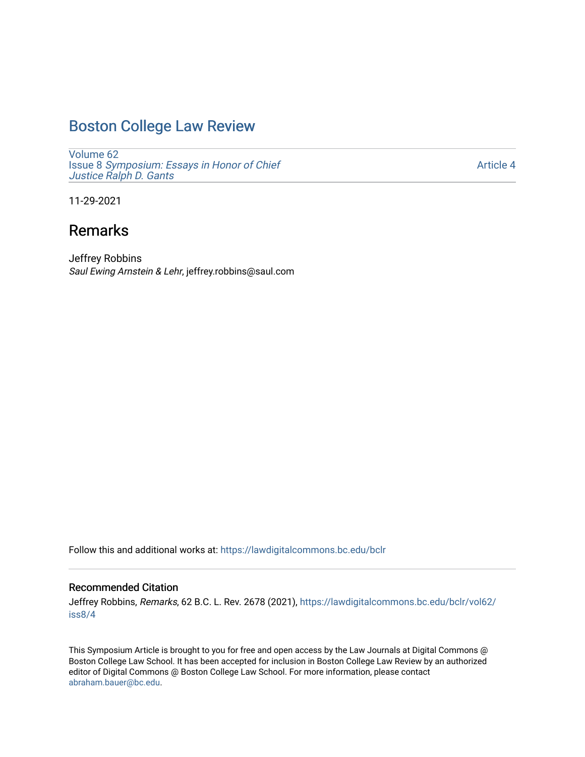## [Boston College Law Review](https://lawdigitalcommons.bc.edu/bclr)

[Volume 62](https://lawdigitalcommons.bc.edu/bclr/vol62) Issue 8 [Symposium: Essays in Honor of Chief](https://lawdigitalcommons.bc.edu/bclr/vol62/iss8)  [Justice Ralph D. Gants](https://lawdigitalcommons.bc.edu/bclr/vol62/iss8) 

[Article 4](https://lawdigitalcommons.bc.edu/bclr/vol62/iss8/4) 

11-29-2021

# Remarks

Jeffrey Robbins Saul Ewing Arnstein & Lehr, jeffrey.robbins@saul.com

Follow this and additional works at: [https://lawdigitalcommons.bc.edu/bclr](https://lawdigitalcommons.bc.edu/bclr?utm_source=lawdigitalcommons.bc.edu%2Fbclr%2Fvol62%2Fiss8%2F4&utm_medium=PDF&utm_campaign=PDFCoverPages) 

### Recommended Citation

Jeffrey Robbins, Remarks, 62 B.C. L. Rev. 2678 (2021), [https://lawdigitalcommons.bc.edu/bclr/vol62/](https://lawdigitalcommons.bc.edu/bclr/vol62/iss8/4?utm_source=lawdigitalcommons.bc.edu%2Fbclr%2Fvol62%2Fiss8%2F4&utm_medium=PDF&utm_campaign=PDFCoverPages) [iss8/4](https://lawdigitalcommons.bc.edu/bclr/vol62/iss8/4?utm_source=lawdigitalcommons.bc.edu%2Fbclr%2Fvol62%2Fiss8%2F4&utm_medium=PDF&utm_campaign=PDFCoverPages)

This Symposium Article is brought to you for free and open access by the Law Journals at Digital Commons @ Boston College Law School. It has been accepted for inclusion in Boston College Law Review by an authorized editor of Digital Commons @ Boston College Law School. For more information, please contact [abraham.bauer@bc.edu.](mailto:abraham.bauer@bc.edu)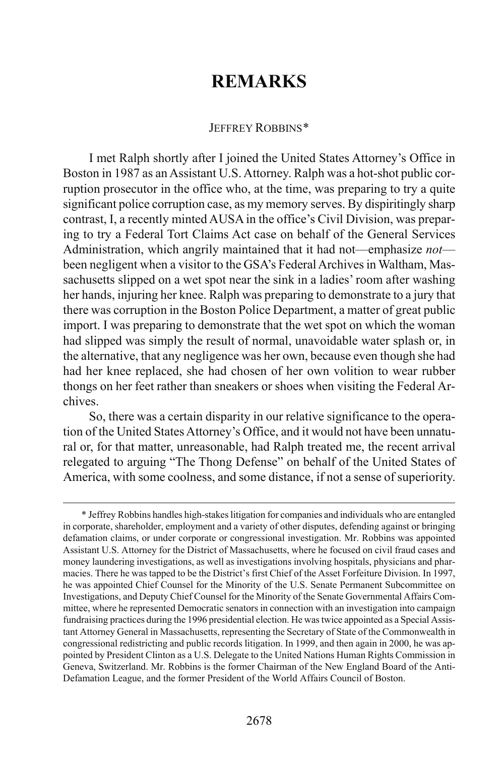## **REMARKS**

#### JEFFREY ROBBINS[\\*](#page-1-0)

I met Ralph shortly after I joined the United States Attorney's Office in Boston in 1987 as an Assistant U.S. Attorney. Ralph was a hot-shot public corruption prosecutor in the office who, at the time, was preparing to try a quite significant police corruption case, as my memory serves. By dispiritingly sharp contrast, I, a recently minted AUSA in the office's Civil Division, was preparing to try a Federal Tort Claims Act case on behalf of the General Services Administration, which angrily maintained that it had not—emphasize *not* been negligent when a visitor to the GSA's Federal Archives in Waltham, Massachusetts slipped on a wet spot near the sink in a ladies' room after washing her hands, injuring her knee. Ralph was preparing to demonstrate to a jury that there was corruption in the Boston Police Department, a matter of great public import. I was preparing to demonstrate that the wet spot on which the woman had slipped was simply the result of normal, unavoidable water splash or, in the alternative, that any negligence was her own, because even though she had had her knee replaced, she had chosen of her own volition to wear rubber thongs on her feet rather than sneakers or shoes when visiting the Federal Archives.

So, there was a certain disparity in our relative significance to the operation of the United States Attorney's Office, and it would not have been unnatural or, for that matter, unreasonable, had Ralph treated me, the recent arrival relegated to arguing "The Thong Defense" on behalf of the United States of America, with some coolness, and some distance, if not a sense of superiority.

<span id="page-1-0"></span> <sup>\*</sup> Jeffrey Robbins handles high-stakes litigation for companies and individuals who are entangled in corporate, shareholder, employment and a variety of other disputes, defending against or bringing defamation claims, or under corporate or congressional investigation. Mr. Robbins was appointed Assistant U.S. Attorney for the District of Massachusetts, where he focused on civil fraud cases and money laundering investigations, as well as investigations involving hospitals, physicians and pharmacies. There he was tapped to be the District's first Chief of the Asset Forfeiture Division. In 1997, he was appointed Chief Counsel for the Minority of the U.S. Senate Permanent Subcommittee on Investigations, and Deputy Chief Counsel for the Minority of the Senate Governmental Affairs Committee, where he represented Democratic senators in connection with an investigation into campaign fundraising practices during the 1996 presidential election. He was twice appointed as a Special Assistant Attorney General in Massachusetts, representing the Secretary of State of the Commonwealth in congressional redistricting and public records litigation. In 1999, and then again in 2000, he was appointed by President Clinton as a U.S. Delegate to the United Nations Human Rights Commission in Geneva, Switzerland. Mr. Robbins is the former Chairman of the New England Board of the Anti-Defamation League, and the former President of the World Affairs Council of Boston.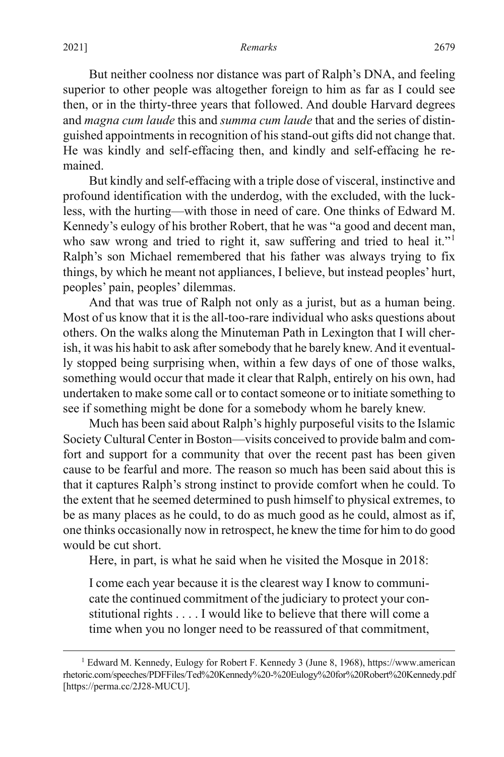#### 2021] *Remarks* 2679

But neither coolness nor distance was part of Ralph's DNA, and feeling superior to other people was altogether foreign to him as far as I could see then, or in the thirty-three years that followed. And double Harvard degrees and *magna cum laude* this and *summa cum laude* that and the series of distinguished appointments in recognition of his stand-out gifts did not change that. He was kindly and self-effacing then, and kindly and self-effacing he remained.

But kindly and self-effacing with a triple dose of visceral, instinctive and profound identification with the underdog, with the excluded, with the luckless, with the hurting—with those in need of care. One thinks of Edward M. Kennedy's eulogy of his brother Robert, that he was "a good and decent man, who saw wrong and tried to right it, saw suffering and tried to heal it."<sup>[1](#page-2-0)</sup> Ralph's son Michael remembered that his father was always trying to fix things, by which he meant not appliances, I believe, but instead peoples' hurt, peoples' pain, peoples' dilemmas.

And that was true of Ralph not only as a jurist, but as a human being. Most of us know that it is the all-too-rare individual who asks questions about others. On the walks along the Minuteman Path in Lexington that I will cherish, it was his habit to ask after somebody that he barely knew. And it eventually stopped being surprising when, within a few days of one of those walks, something would occur that made it clear that Ralph, entirely on his own, had undertaken to make some call or to contact someone or to initiate something to see if something might be done for a somebody whom he barely knew.

Much has been said about Ralph's highly purposeful visits to the Islamic Society Cultural Center in Boston—visits conceived to provide balm and comfort and support for a community that over the recent past has been given cause to be fearful and more. The reason so much has been said about this is that it captures Ralph's strong instinct to provide comfort when he could. To the extent that he seemed determined to push himself to physical extremes, to be as many places as he could, to do as much good as he could, almost as if, one thinks occasionally now in retrospect, he knew the time for him to do good would be cut short.

Here, in part, is what he said when he visited the Mosque in 2018:

I come each year because it is the clearest way I know to communicate the continued commitment of the judiciary to protect your constitutional rights . . . . I would like to believe that there will come a time when you no longer need to be reassured of that commitment,

<span id="page-2-0"></span><sup>&</sup>lt;sup>1</sup> Edward M. Kennedy, Eulogy for Robert F. Kennedy 3 (June 8, 1968), https://www.american rhetoric.com/speeches/PDFFiles/Ted%20Kennedy%20-%20Eulogy%20for%20Robert%20Kennedy.pdf [https://perma.cc/2J28-MUCU].